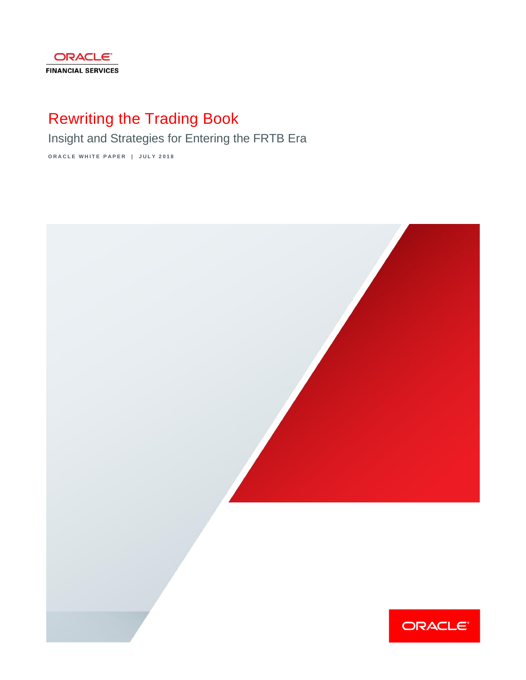

# Rewriting the Trading Book

Insight and Strategies for Entering the FRTB Era

**O R A C L E W H I T E P A P E R | J U L Y 2 0 1 8**

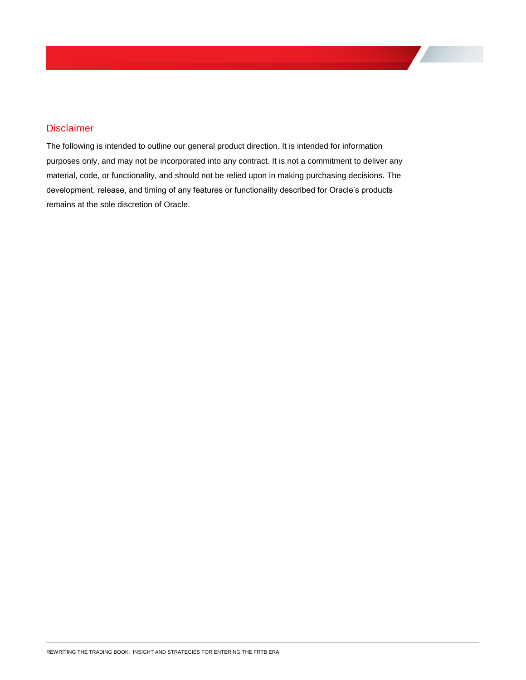#### <span id="page-1-0"></span>**Disclaimer**

The following is intended to outline our general product direction. It is intended for information purposes only, and may not be incorporated into any contract. It is not a commitment to deliver any material, code, or functionality, and should not be relied upon in making purchasing decisions. The development, release, and timing of any features or functionality described for Oracle's products remains at the sole discretion of Oracle.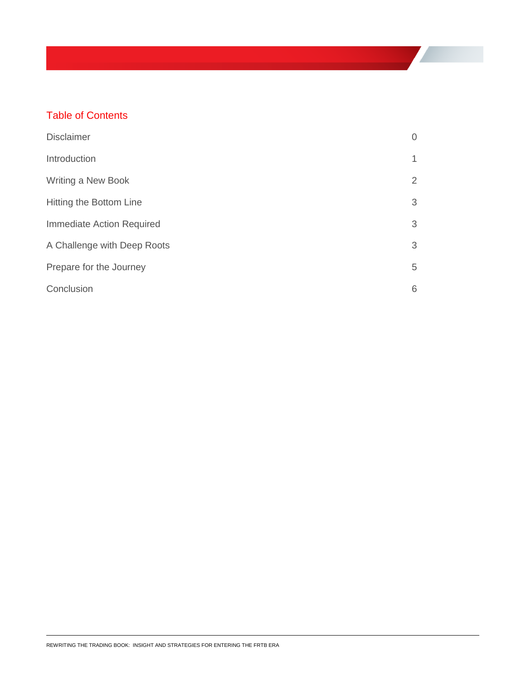# Table of Contents

| <b>Disclaimer</b>           | $\overline{0}$ |
|-----------------------------|----------------|
| Introduction                | 1              |
| Writing a New Book          | $\overline{2}$ |
| Hitting the Bottom Line     | 3              |
| Immediate Action Required   | 3              |
| A Challenge with Deep Roots | 3              |
| Prepare for the Journey     | 5              |
| Conclusion                  | 6              |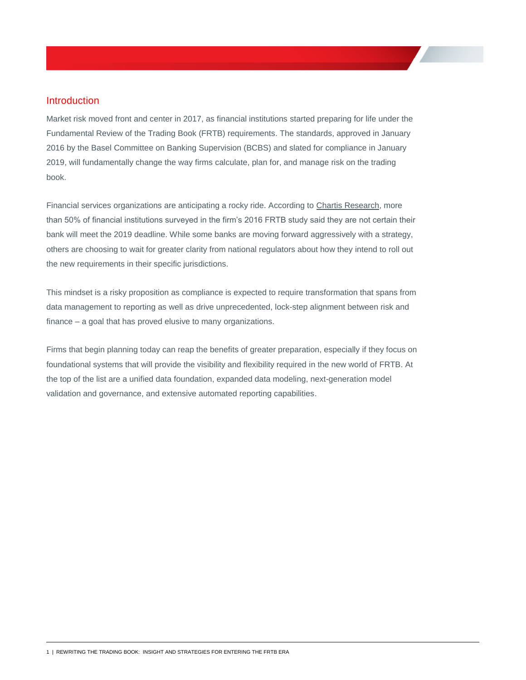#### <span id="page-3-0"></span>Introduction

Market risk moved front and center in 2017, as financial institutions started preparing for life under the Fundamental Review of the Trading Book (FRTB) requirements. The standards, approved in January 2016 by the Basel Committee on Banking Supervision (BCBS) and slated for compliance in January 2019, will fundamentally change the way firms calculate, plan for, and manage risk on the trading book.

Financial services organizations are anticipating a rocky ride. According to [Chartis Research,](http://www.chartis-research.com/research/reports/chartis-forming-frtb-action-plans-tactical-vs.-transformational) more than 50% of financial institutions surveyed in the firm's 2016 FRTB study said they are not certain their bank will meet the 2019 deadline. While some banks are moving forward aggressively with a strategy, others are choosing to wait for greater clarity from national regulators about how they intend to roll out the new requirements in their specific jurisdictions.

This mindset is a risky proposition as compliance is expected to require transformation that spans from data management to reporting as well as drive unprecedented, lock-step alignment between risk and finance – a goal that has proved elusive to many organizations.

Firms that begin planning today can reap the benefits of greater preparation, especially if they focus on foundational systems that will provide the visibility and flexibility required in the new world of FRTB. At the top of the list are a unified data foundation, expanded data modeling, next-generation model validation and governance, and extensive automated reporting capabilities.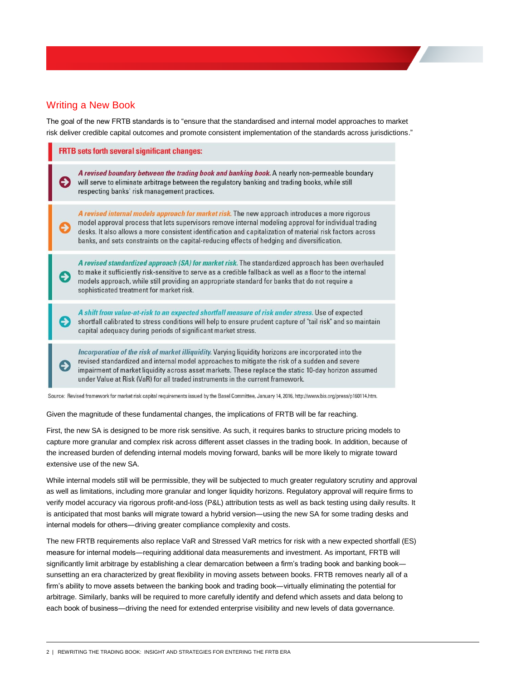#### <span id="page-4-0"></span>Writing a New Book

The goal of the new FRTB standards is to ["ensure that the standardised and internal model approaches to market](http://www.bis.org/press/p160114.htm)  [risk deliver credible capital outcomes and promote consistent implementation of the standards across jurisdictions."](http://www.bis.org/press/p160114.htm)

| <b>FRTB</b> sets forth several significant changes: |                                                                                                                                                                                                                                                                                                                                                                                                                      |
|-----------------------------------------------------|----------------------------------------------------------------------------------------------------------------------------------------------------------------------------------------------------------------------------------------------------------------------------------------------------------------------------------------------------------------------------------------------------------------------|
|                                                     | A revised boundary between the trading book and banking book. A nearly non-permeable boundary<br>will serve to eliminate arbitrage between the regulatory banking and trading books, while still<br>respecting banks' risk management practices.                                                                                                                                                                     |
|                                                     | A revised internal models approach for market risk. The new approach introduces a more rigorous<br>model approval process that lets supervisors remove internal modeling approval for individual trading<br>desks. It also allows a more consistent identification and capitalization of material risk factors across<br>banks, and sets constraints on the capital-reducing effects of hedging and diversification. |
|                                                     | A revised standardized approach (SA) for market risk. The standardized approach has been overhauled<br>to make it sufficiently risk-sensitive to serve as a credible fallback as well as a floor to the internal<br>models approach, while still providing an appropriate standard for banks that do not require a<br>sophisticated treatment for market risk.                                                       |
|                                                     | A shift from value-at-risk to an expected shortfall measure of risk under stress. Use of expected<br>shortfall calibrated to stress conditions will help to ensure prudent capture of "tail risk" and so maintain<br>capital adequacy during periods of significant market stress.                                                                                                                                   |
|                                                     | Incorporation of the risk of market illiquidity. Varying liquidity horizons are incorporated into the<br>revised standardized and internal model approaches to mitigate the risk of a sudden and severe<br>impairment of market liquidity across asset markets. These replace the static 10-day horizon assumed<br>under Value at Risk (VaR) for all traded instruments in the current framework.                    |

Source: Revised framework for market risk capital requirements issued by the Basel Committee, January 14, 2016, http://www.bis.org/press/p160114.htm.

Given the magnitude of these fundamental changes, the implications of FRTB will be far reaching.

First, the new SA is designed to be more risk sensitive. As such, it requires banks to structure pricing models to capture more granular and complex risk across different asset classes in the trading book. In addition, because of the increased burden of defending internal models moving forward, banks will be more likely to migrate toward extensive use of the new SA.

While internal models still will be permissible, they will be subjected to much greater regulatory scrutiny and approval as well as limitations, including more granular and longer liquidity horizons. Regulatory approval will require firms to verify model accuracy via rigorous profit-and-loss (P&L) attribution tests as well as back testing using daily results. It is anticipated that most banks will migrate toward a hybrid version―using the new SA for some trading desks and internal models for others―driving greater compliance complexity and costs.

The new FRTB requirements also replace VaR and Stressed VaR metrics for risk with a new expected shortfall (ES) measure for internal models―requiring additional data measurements and investment. As important, FRTB will significantly limit arbitrage by establishing a clear demarcation between a firm's trading book and banking book sunsetting an era characterized by great flexibility in moving assets between books. FRTB removes nearly all of a firm's ability to move assets between the banking book and trading book―virtually eliminating the potential for arbitrage. Similarly, banks will be required to more carefully identify and defend which assets and data belong to each book of business―driving the need for extended enterprise visibility and new levels of data governance.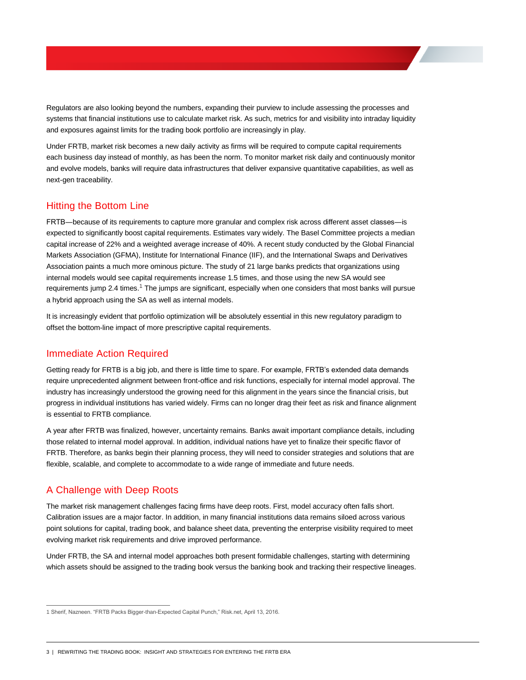Regulators are also looking beyond the numbers, expanding their purview to include assessing the processes and systems that financial institutions use to calculate market risk. As such, metrics for and visibility into intraday liquidity and exposures against limits for the trading book portfolio are increasingly in play.

Under FRTB, market risk becomes a new daily activity as firms will be required to compute capital requirements each business day instead of monthly, as has been the norm. To monitor market risk daily and continuously monitor and evolve models, banks will require data infrastructures that deliver expansive quantitative capabilities, as well as next-gen traceability.

### <span id="page-5-0"></span>Hitting the Bottom Line

FRTB―because of its requirements to capture more granular and complex risk across different asset classes―is expected to significantly boost capital requirements. Estimates vary widely. The Basel Committee projects a median capital increase of 22% and a weighted average increase of 40%. A recent study conducted by the Global Financial Markets Association (GFMA), Institute for International Finance (IIF), and the International Swaps and Derivatives Association paints a much more ominous picture. The study of 21 large banks predicts that organizations using internal models would see capital requirements increase 1.5 times, and those using the new SA would see requirements jump 2.4 times.<sup>1</sup> The jumps are significant, especially when one considers that most banks will pursue a hybrid approach using the SA as well as internal models.

It is increasingly evident that portfolio optimization will be absolutely essential in this new regulatory paradigm to offset the bottom-line impact of more prescriptive capital requirements.

#### <span id="page-5-1"></span>Immediate Action Required

Getting ready for FRTB is a big job, and there is little time to spare. For example, FRTB's extended data demands require unprecedented alignment between front-office and risk functions, especially for internal model approval. The industry has increasingly understood the growing need for this alignment in the years since the financial crisis, but progress in individual institutions has varied widely. Firms can no longer drag their feet as risk and finance alignment is essential to FRTB compliance.

A year after FRTB was finalized, however, uncertainty remains. Banks await important compliance details, including those related to internal model approval. In addition, individual nations have yet to finalize their specific flavor of FRTB. Therefore, as banks begin their planning process, they will need to consider strategies and solutions that are flexible, scalable, and complete to accommodate to a wide range of immediate and future needs.

### <span id="page-5-2"></span>A Challenge with Deep Roots

 $\overline{a}$ 

The market risk management challenges facing firms have deep roots. First, model accuracy often falls short. Calibration issues are a major factor. In addition, in many financial institutions data remains siloed across various point solutions for capital, trading book, and balance sheet data, preventing the enterprise visibility required to meet evolving market risk requirements and drive improved performance.

Under FRTB, the SA and internal model approaches both present formidable challenges, starting with determining which assets should be assigned to the trading book versus the banking book and tracking their respective lineages.

<sup>1</sup> Sherif, Nazneen. "FRTB Packs Bigger-than-Expected Capital Punch," Risk.net, April 13, 2016.

<sup>3 |</sup> REWRITING THE TRADING BOOK: INSIGHT AND STRATEGIES FOR ENTERING THE FRTB ERA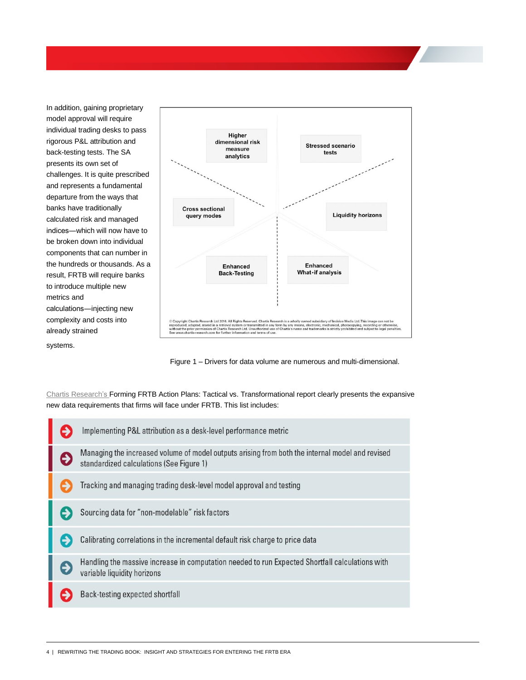In addition, gaining proprietary model approval will require individual trading desks to pass rigorous P&L attribution and back-testing tests. The SA presents its own set of challenges. It is quite prescribed and represents a fundamental departure from the ways that banks have traditionally calculated risk and managed indices―which will now have to be broken down into individual components that can number in the hundreds or thousands. As a result, FRTB will require banks to introduce multiple new metrics and calculations―injecting new complexity and costs into already strained systems.



Figure 1 – Drivers for data volume are numerous and multi-dimensional.

[Chartis Research's](http://www.chartis-research.com/research/reports/chartis-forming-frtb-action-plans-tactical-vs.-transformational) Forming FRTB Action Plans: Tactical vs. Transformational report clearly presents the expansive new data requirements that firms will face under FRTB. This list includes:

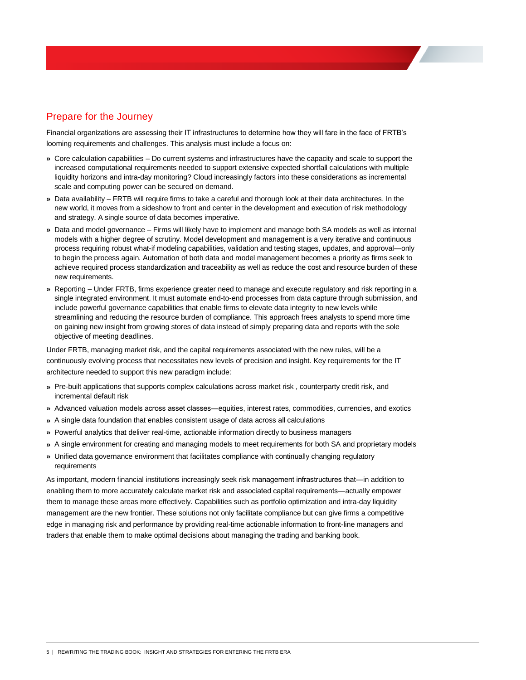## <span id="page-7-0"></span>Prepare for the Journey

Financial organizations are assessing their IT infrastructures to determine how they will fare in the face of FRTB's looming requirements and challenges. This analysis must include a focus on:

- **»** Core calculation capabilities Do current systems and infrastructures have the capacity and scale to support the increased computational requirements needed to support extensive expected shortfall calculations with multiple liquidity horizons and intra-day monitoring? Cloud increasingly factors into these considerations as incremental scale and computing power can be secured on demand.
- **»** Data availability FRTB will require firms to take a careful and thorough look at their data architectures. In the new world, it moves from a sideshow to front and center in the development and execution of risk methodology and strategy. A single source of data becomes imperative.
- **»** Data and model governance Firms will likely have to implement and manage both SA models as well as internal models with a higher degree of scrutiny. Model development and management is a very iterative and continuous process requiring robust what-if modeling capabilities, validation and testing stages, updates, and approval―only to begin the process again. Automation of both data and model management becomes a priority as firms seek to achieve required process standardization and traceability as well as reduce the cost and resource burden of these new requirements.
- **»** Reporting Under FRTB, firms experience greater need to manage and execute regulatory and risk reporting in a single integrated environment. It must automate end-to-end processes from data capture through submission, and include powerful governance capabilities that enable firms to elevate data integrity to new levels while streamlining and reducing the resource burden of compliance. This approach frees analysts to spend more time on gaining new insight from growing stores of data instead of simply preparing data and reports with the sole objective of meeting deadlines.

Under FRTB, managing market risk, and the capital requirements associated with the new rules, will be a continuously evolving process that necessitates new levels of precision and insight. Key requirements for the IT architecture needed to support this new paradigm include:

- **»** Pre-built applications that supports complex calculations across market risk , counterparty credit risk, and incremental default risk
- **»** Advanced valuation models across asset classes―equities, interest rates, commodities, currencies, and exotics
- **»** A single data foundation that enables consistent usage of data across all calculations
- **»** Powerful analytics that deliver real-time, actionable information directly to business managers
- **»** A single environment for creating and managing models to meet requirements for both SA and proprietary models
- **»** Unified data governance environment that facilitates compliance with continually changing regulatory requirements

As important, modern financial institutions increasingly seek risk management infrastructures that―in addition to enabling them to more accurately calculate market risk and associated capital requirements―actually empower them to manage these areas more effectively. Capabilities such as portfolio optimization and intra-day liquidity management are the new frontier. These solutions not only facilitate compliance but can give firms a competitive edge in managing risk and performance by providing real-time actionable information to front-line managers and traders that enable them to make optimal decisions about managing the trading and banking book.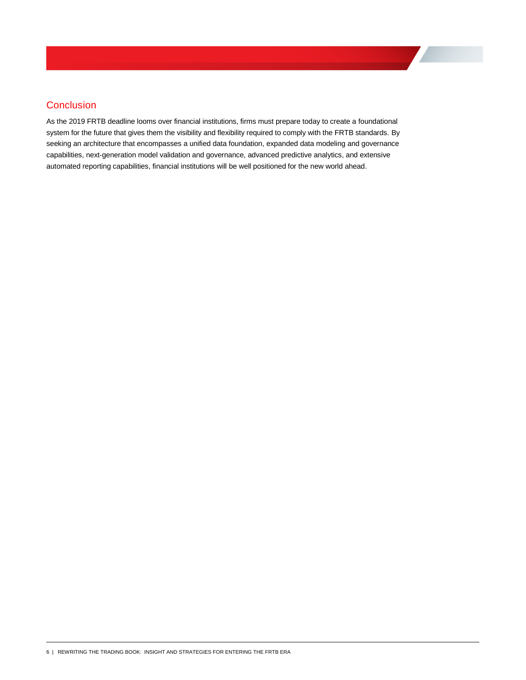## <span id="page-8-0"></span>**Conclusion**

As the 2019 FRTB deadline looms over financial institutions, firms must prepare today to create a foundational system for the future that gives them the visibility and flexibility required to comply with the FRTB standards. By seeking an architecture that encompasses a unified data foundation, expanded data modeling and governance capabilities, next-generation model validation and governance, advanced predictive analytics, and extensive automated reporting capabilities, financial institutions will be well positioned for the new world ahead.